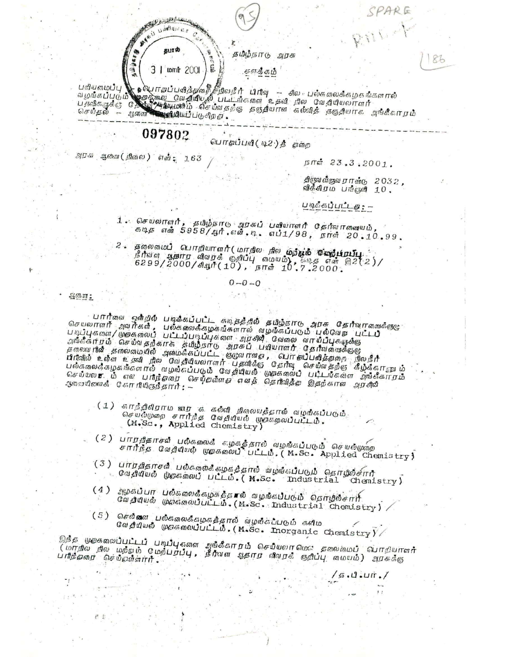الشكاء أو المسابق المحمد المحمد المحمد المسابقة المسابقة المسابقة المسابقة المسابقة المسابقة المسابقة المسابقة<br>المسابقة Mail Limitance தபால் 1005 timal | E

தமிழ்நாடு அரசு

சுருதீகம்

்<br>வழங்கப்படும் முதைக்கைய வேதியில் படிடங்களை உதவி நில பல்கலைக்கழகங்களால்<br>பதவிகருக்கு இதைத்தைய வேதியில் படிடங்களை உதவி நில வேதியியலாளர்<br>பாய்டிக்கு இது இது பயணம் வீசம்வதற்கு தஞ்தியான கல்வித் தஞ்தியாக அங்கீகாரம் பெதுவருக்கு மாவை பெரும்பாக்கிய பெரும்.<br>பெதுவருக்கு மாவை பெரும்பாக்கிய பெரும்.

## 097802

பொதப்பவி ( டி2 ) தீ அறை

அபசு ஆண் (நிலை) எஷ். 163

நாள் 23.3.2001.

PARE

86

திருவனீருவேறாக்கு 2032, விக்கிரம பங்குளி 10.

 $\frac{1}{5}$ .1.11.11.1

படிக்கப்பட்டத : -

1. செயலாளர், தமிழ்நாடு அரசுப் பவியாளர் தேர்வாகவையம்,<br>தடித என் 5958/ஆர்.என்.டி. எப்1/98, நாள் 20.10.99.

தலைமைப் பொறியாளர் (மாநில நில மற்பூம் மறைப்பட்டி  $2.5$ நீர்வள ஆகார விவரக் குறிப்பு மையம்), கே.எ என் இ2(2)/<br>6299/2000/கியூரீ (10), நாள் 10,7.2000.

 $0 - 0 - 0$ 

 $H$ mm:

் பார்வை ஒஸ்றில் படிக்கப்பட்ட கடித்த்தில் தமிழ்நாடு அரசு தேர்வாரவைக்குழு<br>செயலாளர் அவர்கள், பல்கேஸைக்கழகங்களால் வழங்கப்படும் பல்வேற பேட்டார்<br>படிப்புகளை/ முதகேஸைப் பட்டப்படிப்புகளை அரசில் வேலை வாயிப்புகஷுக்கு<br>திங்கீகர்ரம் ச

(1) காந்திகிறாம வார க கல்வி நிலையத்தால் வழங்கப்படும். கையல்முறை சார்ந்த வேதியியல் முகுக்றலப்பட்டம்.<br>(M.Sc., Applied Chemistry)

- (2) பாரதிகாசுள் பலீகலைக் கழகத்தால் வழங்கப்படும் செயல்முறை<br>சார்ந்த வேதியியல் முறகேலைப் பட்டம்.(M.Se. Applied Chemistry)
- (3) பாற்திதாசல் பல்கலைக்கழகத்தால் வழங்கப்படும் தொழில்சார் Cagawe Ugsmoul ULLL. (M.Sc. Industrial Chemistry)
- அழகப்பா பல்கலைக்கழகத்தால் வழங்கப்படும் தொழில்சார்  $(4)$ ca guwd wescoolull b. (M.Sc. Industrial Chemistry) /
- (5) செவீவாளை பல்கலைக்கழகத்தால் வழங்கப்படும் களிம Caldud US manufulle . (M.Sc. Inorganic Chemistry)

இந்த முறகைமைப்பட்டப் படிப்புகளை அங்கீகாரம் செய்யலா மெல தலைமைப் வொறியாளார் (மாநில நில மற்றம் மேற்பர்ப்பு, நீர்வள ஆதார விவரச் குறிப்பு வமயம்) அரசுக்கு பரிந்தவர செய்துள்ளார்.